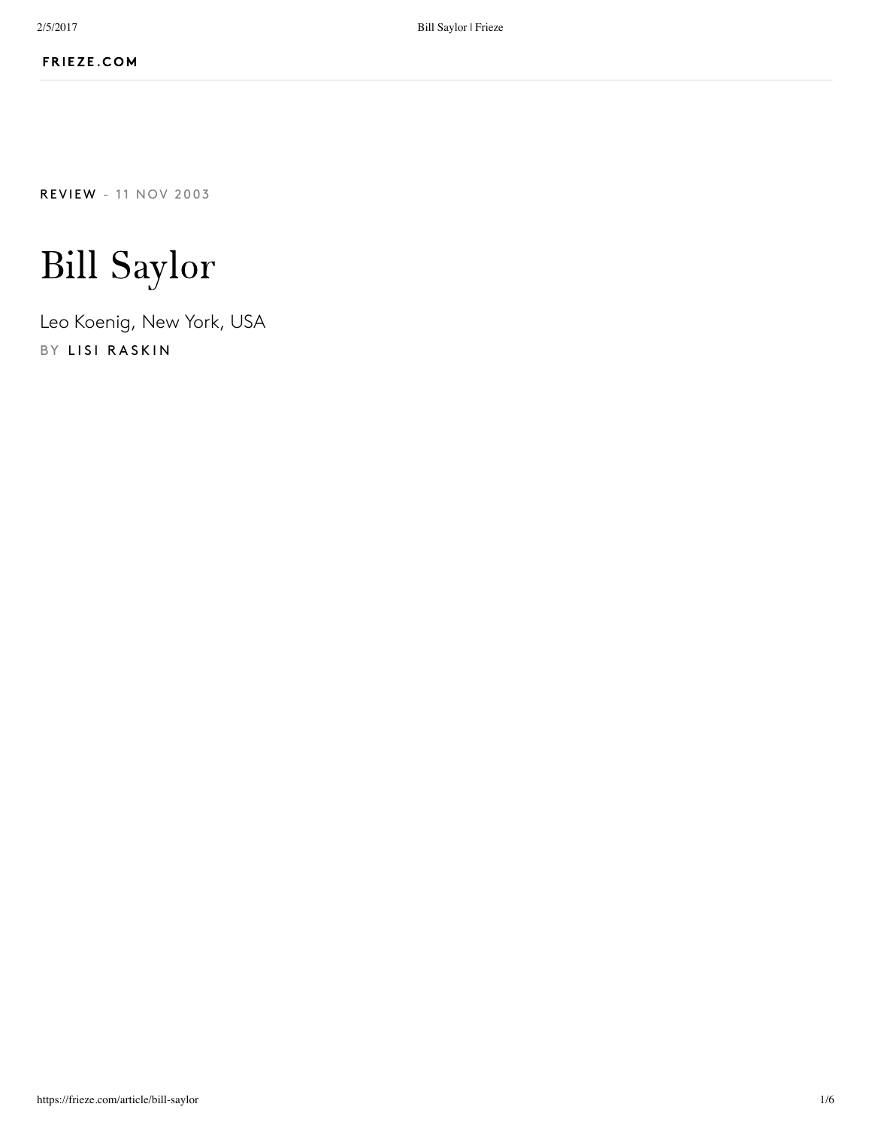**[REVI](https://frieze.com/editorial/review)EW** - 11 NOV 2003

# Bill Saylor

Leo Koenig, New York, USA BY LISI RASKI[N](https://frieze.com/contributor/lisi-raskin)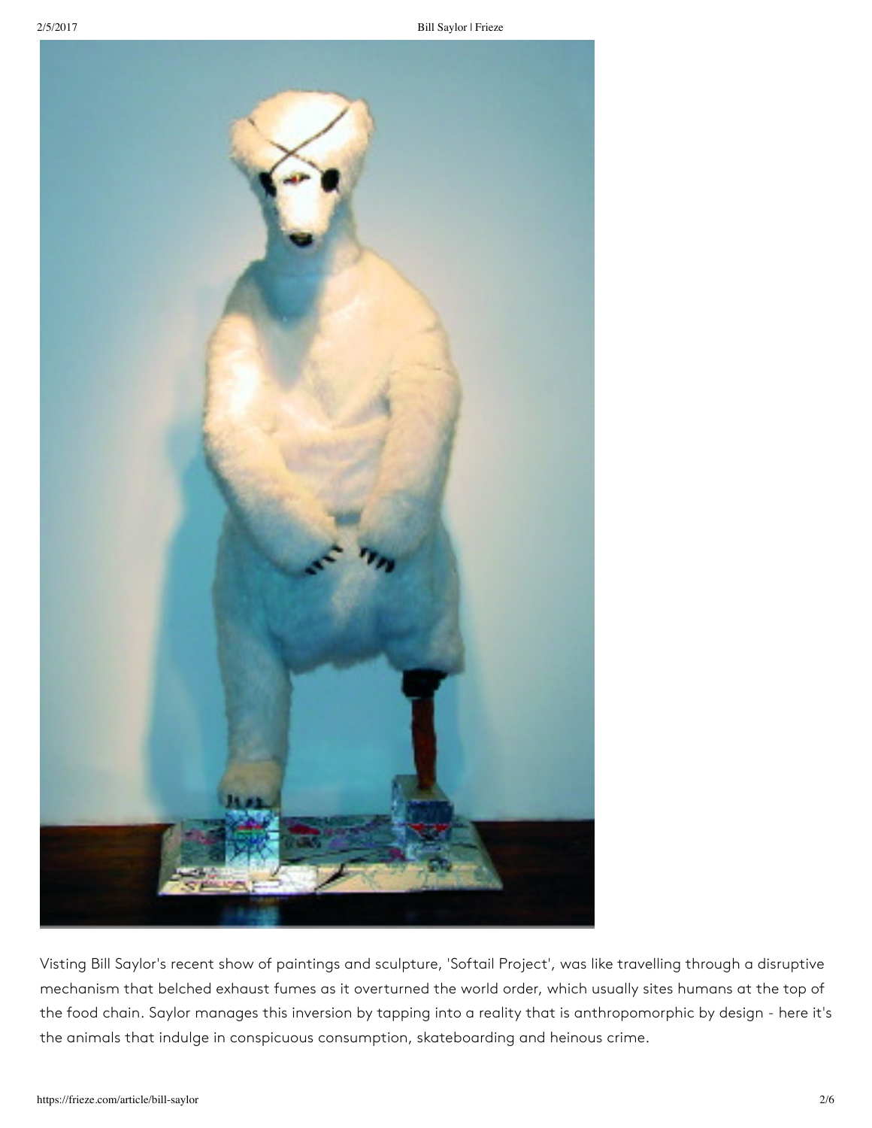

Visting Bill Saylor's recent show of paintings and sculpture, 'Softail Project', was like travelling through a disruptive mechanism that belched exhaust fumes as it overturned the world order, which usually sites humans at the top of the food chain. Saylor manages this inversion by tapping into a reality that is anthropomorphic by design - here it's the animals that indulge in conspicuous consumption, skateboarding and heinous crime.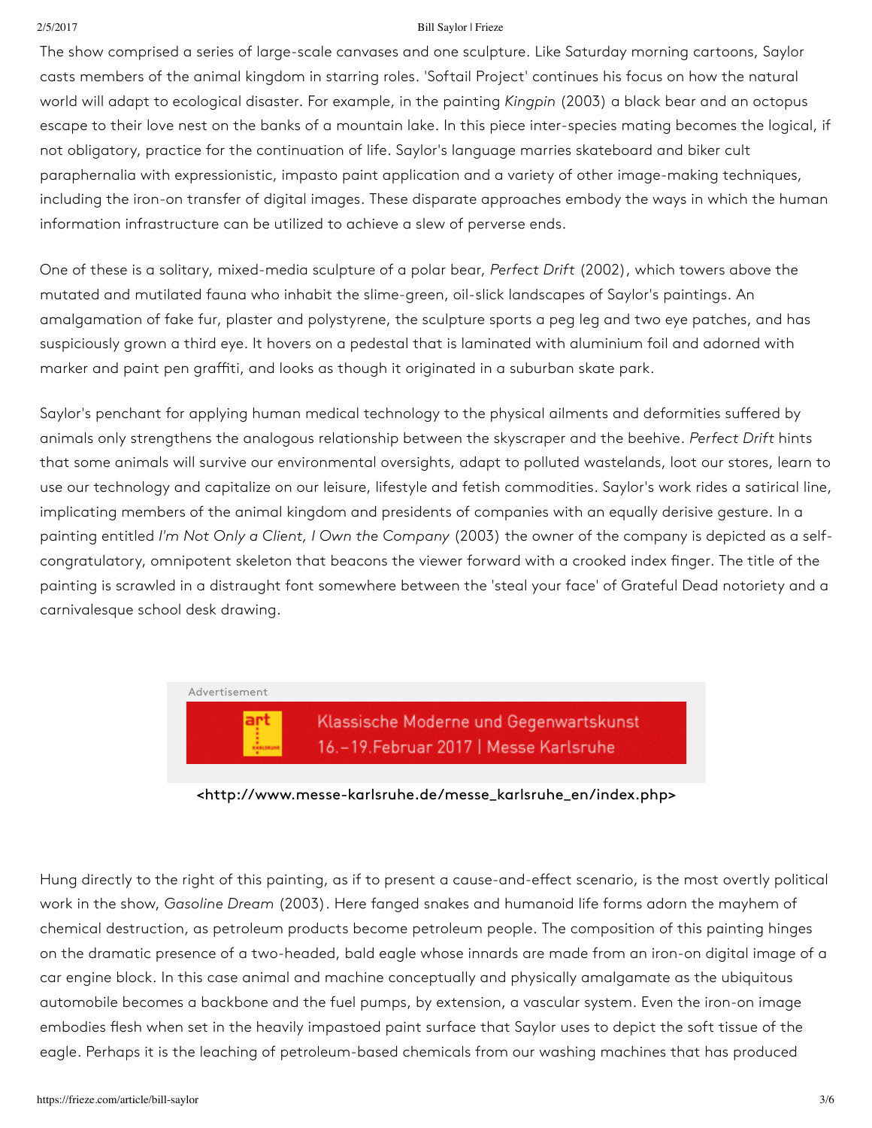#### 2/5/2017 Bill Saylor | Frieze

The show comprised a series of large-scale canvases and one sculpture. Like Saturday morning cartoons, Saylor casts members of the animal kingdom in starring roles. 'Softail Project' continues his focus on how the natural world will adapt to ecological disaster. For example, in the painting *Kingpin* (2003) a black bear and an octopus escape to their love nest on the banks of a mountain lake. In this piece inter-species mating becomes the logical, if not obligatory, practice for the continuation of life. Saylor's language marries skateboard and biker cult paraphernalia with expressionistic, impasto paint application and a variety of other image-making techniques, including the iron-on transfer of digital images. These disparate approaches embody the ways in which the human information infrastructure can be utilized to achieve a slew of perverse ends.

One of these is a solitary, mixed-media sculpture of a polar bear, *Perfect Drift* (2002), which towers above the mutated and mutilated fauna who inhabit the slime-green, oil-slick landscapes of Saylor's paintings. An amalgamation of fake fur, plaster and polystyrene, the sculpture sports a peg leg and two eye patches, and has suspiciously grown a third eye. It hovers on a pedestal that is laminated with aluminium foil and adorned with marker and paint pen graffiti, and looks as though it originated in a suburban skate park.

Saylor's penchant for applying human medical technology to the physical ailments and deformities suffered by animals only strengthens the analogous relationship between the skyscraper and the beehive. *Perfect Drift* hints that some animals will survive our environmental oversights, adapt to polluted wastelands, loot our stores, learn to use our technology and capitalize on our leisure, lifestyle and fetish commodities. Saylor's work rides a satirical line, implicating members of the animal kingdom and presidents of companies with an equally derisive gesture. In a painting entitled *I'm Not Only a Client, I Own the Company* (2003) the owner of the company is depicted as a selfcongratulatory, omnipotent skeleton that beacons the viewer forward with a crooked index finger. The title of the painting is scrawled in a distraught font somewhere between the 'steal your face' of Grateful Dead notoriety and a carnivalesque school desk drawing.

# Klassische Moderne und Gegenwartskunst 16.-19. Februar 2017 | Messe Karlsruhe

## [<http://www.messe-karlsruhe.de/messe\\_karlsruhe\\_en/index.php>](http://www.messe-karlsruhe.de/messe_karlsruhe_en/index.php)

Hung directly to the right of this painting, as if to present a cause-and-effect scenario, is the most overtly political work in the show, *Gasoline Dream* (2003). Here fanged snakes and humanoid life forms adorn the mayhem of chemical destruction, as petroleum products become petroleum people. The composition of this painting hinges on the dramatic presence of a two-headed, bald eagle whose innards are made from an iron-on digital image of a car engine block. In this case animal and machine conceptually and physically amalgamate as the ubiquitous automobile becomes a backbone and the fuel pumps, by extension, a vascular system. Even the iron-on image embodies flesh when set in the heavily impastoed paint surface that Saylor uses to depict the soft tissue of the eagle. Perhaps it is the leaching of petroleum-based chemicals from our washing machines that has produced

Advertisement

art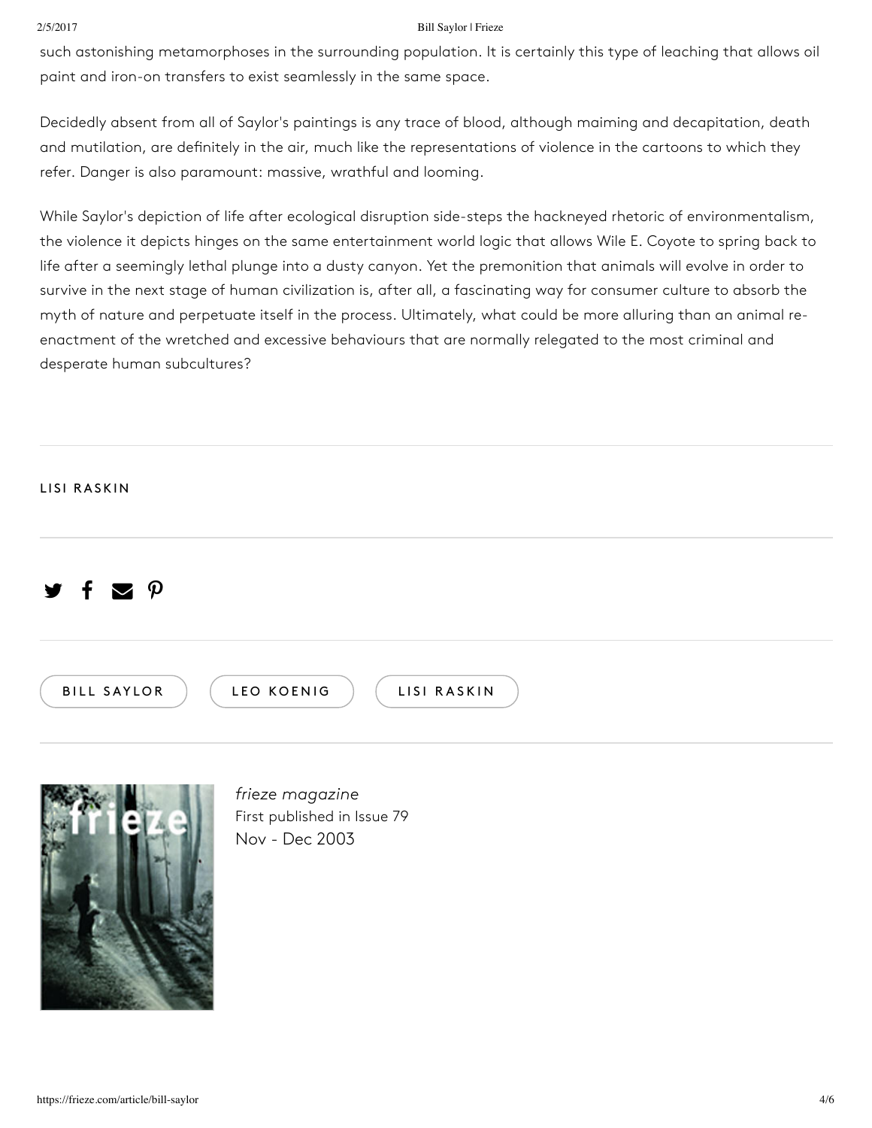### 2/5/2017 Bill Saylor | Frieze

such astonishing metamorphoses in the surrounding population. It is certainly this type of leaching that allows oil paint and iron-on transfers to exist seamlessly in the same space.

Decidedly absent from all of Saylor's paintings is any trace of blood, although maiming and decapitation, death and mutilation, are definitely in the air, much like the representations of violence in the cartoons to which they refer. Danger is also paramount: massive, wrathful and looming.

While Saylor's depiction of life after ecological disruption side-steps the hackneyed rhetoric of environmentalism, the violence it depicts hinges on the same entertainment world logic that allows Wile E. Coyote to spring back to life after a seemingly lethal plunge into a dusty canyon. Yet the premonition that animals will evolve in order to survive in the next stage of human civilization is, after all, a fascinating way for consumer culture to absorb the myth of nature and perpetuate itself in the process. Ultimately, what could be more alluring than an animal reenactment of the wretched and excessive behaviours that are normally relegated to the most criminal and desperate human subcultures?

## LISI [RASKIN](https://frieze.com/contributor/lisi-raskin)

#### y f  $\blacktriangledown$  $\boldsymbol{\mathsf{p}}$





*frieze magazine* First published in Issue 79 Nov - Dec 2003